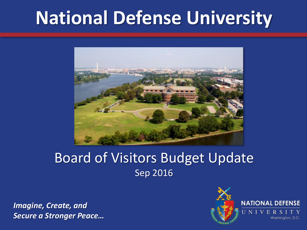# **National Defense University**



### Board of Visitors Budget Update Sep 2016

*Imagine, Create, and Secure a Stronger Peace…*

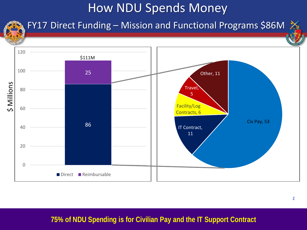## How NDU Spends Money



### FY17 Direct Funding – Mission and Functional Programs \$86M  $\frac{1}{24}$



#### **75% of NDU Spending is for Civilian Pay and the IT Support Contract**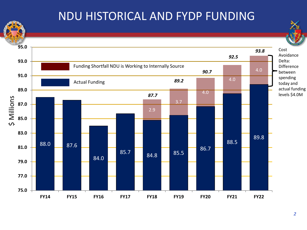### NDU HISTORICAL AND FYDP FUNDING

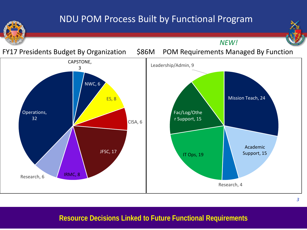#### NDU POM Process Built by Functional Program



*NEW!*



#### **Resource Decisions Linked to Future Functional Requirements**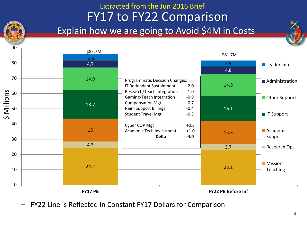#### FY17 to FY22 Comparison Explain how we are going to Avoid \$4M in Costs Extracted from the Jun 2016 Brief



– FY22 Line is Reflected in Constant FY17 Dollars for Comparison